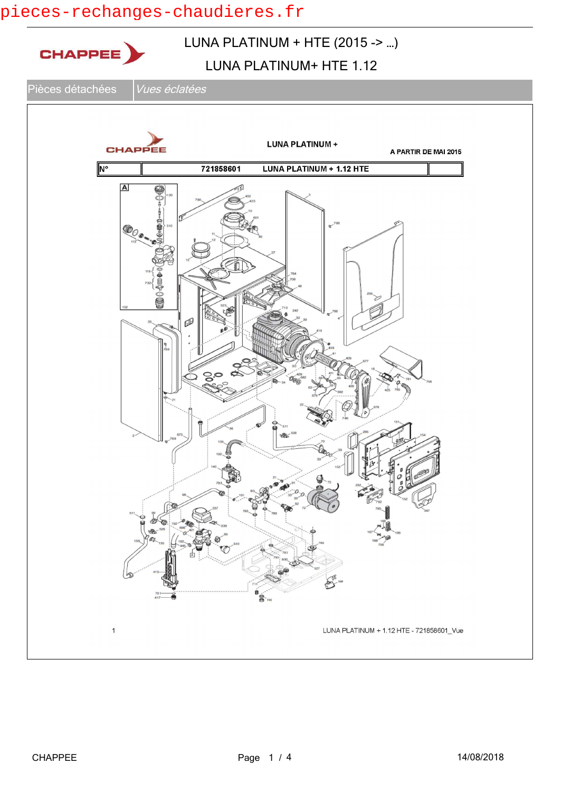# pieces-rechanges-chaudieres.fr

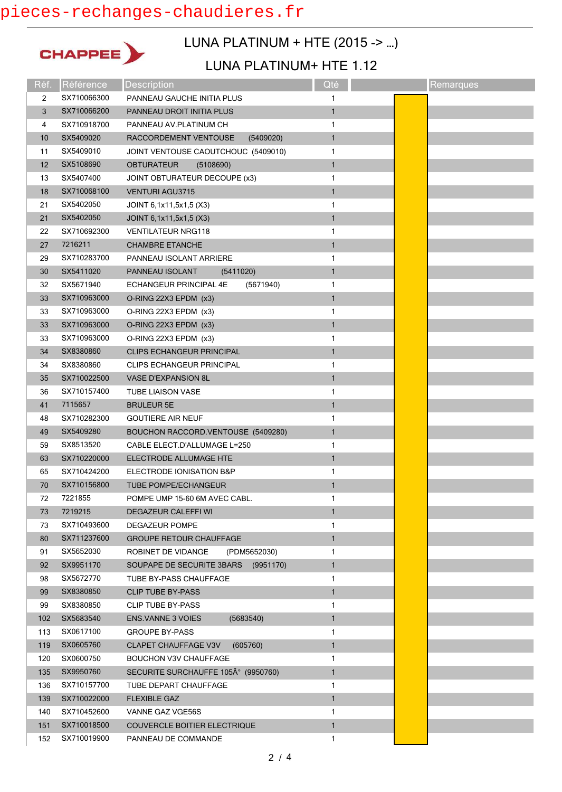## pieces-rechanges-chaudieres.fr



## LUNA PLATINUM + HTE (2015 -> …)

#### LUNA PLATINUM+ HTE 1.12

| Réf. | Référence   | Description                                | Qté          | Remarques |
|------|-------------|--------------------------------------------|--------------|-----------|
| 2    | SX710066300 | PANNEAU GAUCHE INITIA PLUS                 | 1            |           |
| 3    | SX710066200 | PANNEAU DROIT INITIA PLUS                  | $\mathbf{1}$ |           |
| 4    | SX710918700 | PANNEAU AV.PLATINUM CH                     | 1            |           |
| 10   | SX5409020   | RACCORDEMENT VENTOUSE<br>(5409020)         | $\mathbf{1}$ |           |
| 11   | SX5409010   | JOINT VENTOUSE CAOUTCHOUC (5409010)        | 1            |           |
| 12   | SX5108690   | <b>OBTURATEUR</b><br>(5108690)             | $\mathbf{1}$ |           |
| 13   | SX5407400   | JOINT OBTURATEUR DECOUPE (x3)              | 1            |           |
| 18   | SX710068100 | <b>VENTURI AGU3715</b>                     | $\mathbf{1}$ |           |
| 21   | SX5402050   | JOINT 6,1x11,5x1,5 (X3)                    | 1            |           |
| 21   | SX5402050   | JOINT 6,1x11,5x1,5 (X3)                    | 1            |           |
| 22   | SX710692300 | <b>VENTILATEUR NRG118</b>                  | 1            |           |
| 27   | 7216211     | <b>CHAMBRE ETANCHE</b>                     | 1            |           |
| 29   | SX710283700 | PANNEAU ISOLANT ARRIERE                    | 1            |           |
| 30   | SX5411020   | PANNEAU ISOLANT<br>(5411020)               | $\mathbf{1}$ |           |
| 32   | SX5671940   | <b>ECHANGEUR PRINCIPAL 4E</b><br>(5671940) | 1            |           |
| 33   | SX710963000 | O-RING 22X3 EPDM (x3)                      | $\mathbf{1}$ |           |
| 33   | SX710963000 | O-RING 22X3 EPDM (x3)                      | 1            |           |
| 33   | SX710963000 | O-RING 22X3 EPDM (x3)                      | 1            |           |
| 33   | SX710963000 | O-RING 22X3 EPDM (x3)                      | 1            |           |
| 34   | SX8380860   | <b>CLIPS ECHANGEUR PRINCIPAL</b>           | $\mathbf{1}$ |           |
| 34   | SX8380860   | <b>CLIPS ECHANGEUR PRINCIPAL</b>           | 1            |           |
| 35   | SX710022500 | <b>VASE D'EXPANSION 8L</b>                 | $\mathbf{1}$ |           |
| 36   | SX710157400 | <b>TUBE LIAISON VASE</b>                   | 1            |           |
| 41   | 7115657     | <b>BRULEUR 5E</b>                          | $\mathbf{1}$ |           |
| 48   | SX710282300 | <b>GOUTIERE AIR NEUF</b>                   | 1            |           |
| 49   | SX5409280   | BOUCHON RACCORD VENTOUSE (5409280)         | $\mathbf{1}$ |           |
| 59   | SX8513520   | CABLE ELECT.D'ALLUMAGE L=250               | 1            |           |
| 63   | SX710220000 | ELECTRODE ALLUMAGE HTE                     | $\mathbf{1}$ |           |
| 65   | SX710424200 | ELECTRODE IONISATION B&P                   | 1            |           |
| 70   | SX710156800 | TUBE POMPE/ECHANGEUR                       | $\mathbf{1}$ |           |
| 72   | 7221855     | POMPE UMP 15-60 6M AVEC CABL.              | 1            |           |
| 73   | 7219215     | <b>DEGAZEUR CALEFFI WI</b>                 | 1            |           |
| 73   | SX710493600 | <b>DEGAZEUR POMPE</b>                      | 1            |           |
| 80   | SX711237600 | <b>GROUPE RETOUR CHAUFFAGE</b>             | $\mathbf{1}$ |           |
| 91   | SX5652030   | ROBINET DE VIDANGE<br>(PDM5652030)         | 1            |           |
| 92   | SX9951170   | SOUPAPE DE SECURITE 3BARS<br>(9951170)     | $\mathbf{1}$ |           |
| 98   | SX5672770   | TUBE BY-PASS CHAUFFAGE                     | 1            |           |
| 99   | SX8380850   | <b>CLIP TUBE BY-PASS</b>                   | $\mathbf{1}$ |           |
| 99   | SX8380850   | <b>CLIP TUBE BY-PASS</b>                   | 1            |           |
| 102  | SX5683540   | ENS VANNE 3 VOIES<br>(5683540)             | 1            |           |
| 113  | SX0617100   | <b>GROUPE BY-PASS</b>                      | 1            |           |
| 119  | SX0605760   | <b>CLAPET CHAUFFAGE V3V</b><br>(605760)    | $\mathbf{1}$ |           |
| 120  | SX0600750   | <b>BOUCHON V3V CHAUFFAGE</b>               | 1            |           |
| 135  | SX9950760   | SECURITE SURCHAUFFE 105° (9950760)         | $\mathbf{1}$ |           |
| 136  | SX710157700 | TUBE DEPART CHAUFFAGE                      | 1            |           |
| 139  | SX710022000 | <b>FLEXIBLE GAZ</b>                        | $\mathbf{1}$ |           |
| 140  | SX710452600 | VANNE GAZ VGE56S                           | 1            |           |
| 151  | SX710018500 | COUVERCLE BOITIER ELECTRIQUE               | $\mathbf{1}$ |           |
| 152  | SX710019900 | PANNEAU DE COMMANDE                        | 1            |           |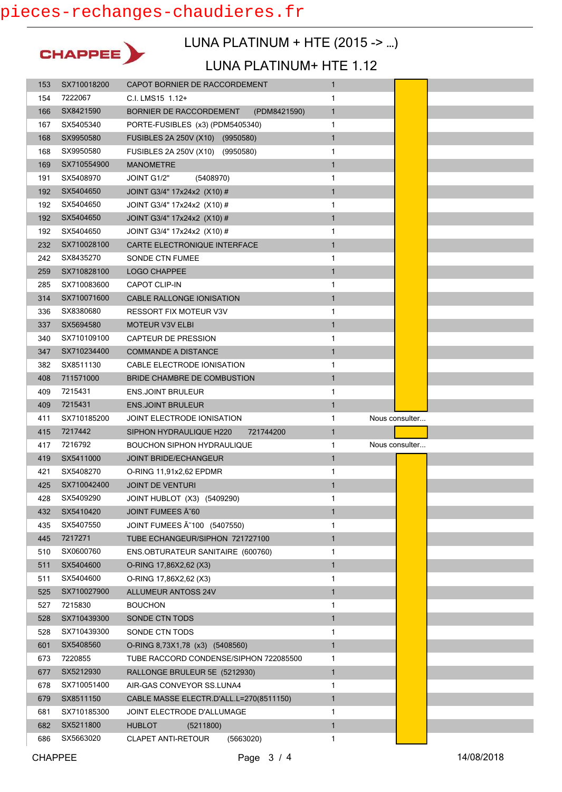

### LUNA PLATINUM + HTE (2015 -> …)

#### LUNA PLATINUM+ HTE 1.12

| 153        | SX710018200            | CAPOT BORNIER DE RACCORDEMENT                                        | $\mathbf{1}$      |                |
|------------|------------------------|----------------------------------------------------------------------|-------------------|----------------|
| 154        | 7222067                | C.I. LMS15 1.12+                                                     | 1                 |                |
| 166        | SX8421590              | BORNIER DE RACCORDEMENT<br>(PDM8421590)                              | $\mathbf{1}$      |                |
| 167        | SX5405340              | PORTE-FUSIBLES (x3) (PDM5405340)                                     | 1                 |                |
| 168        | SX9950580              | FUSIBLES 2A 250V (X10) (9950580)                                     | $\mathbf{1}$      |                |
| 168        | SX9950580              | FUSIBLES 2A 250V (X10) (9950580)                                     | 1                 |                |
| 169        | SX710554900            | <b>MANOMETRE</b>                                                     | $\mathbf{1}$      |                |
| 191        | SX5408970              | JOINT G1/2"<br>(5408970)                                             | 1                 |                |
| 192        | SX5404650              | JOINT G3/4" 17x24x2 (X10) #                                          | $\mathbf{1}$      |                |
| 192        | SX5404650              | JOINT G3/4" 17x24x2 (X10) #                                          | 1                 |                |
| 192        | SX5404650              | JOINT G3/4" 17x24x2 (X10) #                                          | $\mathbf{1}$      |                |
| 192        | SX5404650              | JOINT G3/4" 17x24x2 (X10) #                                          | 1                 |                |
| 232        | SX710028100            | CARTE ELECTRONIQUE INTERFACE                                         | $\mathbf{1}$      |                |
| 242        | SX8435270              | SONDE CTN FUMEE                                                      | 1                 |                |
| 259        | SX710828100            | LOGO CHAPPEE                                                         | $\mathbf{1}$      |                |
| 285        | SX710083600            | <b>CAPOT CLIP-IN</b>                                                 | 1                 |                |
| 314        | SX710071600            | CABLE RALLONGE IONISATION                                            | $\mathbf{1}$      |                |
| 336        | SX8380680              | RESSORT FIX MOTEUR V3V                                               | 1                 |                |
| 337        | SX5694580              | MOTEUR V3V ELBI                                                      | $\mathbf{1}$      |                |
| 340        | SX710109100            | <b>CAPTEUR DE PRESSION</b>                                           | 1                 |                |
| 347        | SX710234400            | <b>COMMANDE A DISTANCE</b>                                           | $\mathbf{1}$      |                |
| 382        | SX8511130              | CABLE ELECTRODE IONISATION                                           | 1                 |                |
| 408        | 711571000              | <b>BRIDE CHAMBRE DE COMBUSTION</b>                                   | $\mathbf{1}$      |                |
| 409        | 7215431                | <b>ENS.JOINT BRULEUR</b>                                             | 1                 |                |
| 409        | 7215431                | <b>ENS.JOINT BRULEUR</b>                                             | $\mathbf{1}$      |                |
|            |                        |                                                                      |                   |                |
| 411        | SX710185200            | JOINT ELECTRODE IONISATION                                           | 1                 | Nous consulter |
| 415        | 7217442                | SIPHON HYDRAULIQUE H220<br>721744200                                 | $\mathbf{1}$      |                |
| 417        | 7216792                | <b>BOUCHON SIPHON HYDRAULIQUE</b>                                    | 1                 | Nous consulter |
| 419        | SX5411000              | JOINT BRIDE/ECHANGEUR                                                | $\mathbf{1}$      |                |
| 421        | SX5408270              | O-RING 11,91x2,62 EPDMR                                              | 1                 |                |
| 425        | SX710042400            | <b>JOINT DE VENTURI</b>                                              | $\mathbf{1}$      |                |
| 428        | SX5409290              | JOINT HUBLOT (X3) (5409290)                                          | 1                 |                |
| 432        | SX5410420              | JOINT FUMEES A~60                                                    | $\mathbf{1}$      |                |
| 435        | SX5407550              | JOINT FUMEES A 100 (5407550)                                         | 1                 |                |
| 445        | 7217271                | TUBE ECHANGEUR/SIPHON 721727100                                      | $\mathbf{1}$      |                |
| 510        | SX0600760              | ENS.OBTURATEUR SANITAIRE (600760)                                    | 1                 |                |
| 511        | SX5404600              | O-RING 17,86X2,62 (X3)                                               | 1                 |                |
| 511        | SX5404600              | O-RING 17,86X2,62 (X3)                                               | 1                 |                |
| 525        | SX710027900            | <b>ALLUMEUR ANTOSS 24V</b>                                           | $\mathbf{1}$      |                |
| 527        | 7215830                | <b>BOUCHON</b>                                                       | 1                 |                |
| 528        | SX710439300            | SONDE CTN TODS                                                       | $\mathbf{1}$      |                |
| 528        | SX710439300            | SONDE CTN TODS                                                       | 1                 |                |
| 601        | SX5408560              | O-RING 8,73X1,78 (x3) (5408560)                                      | $\mathbf{1}$      |                |
| 673        | 7220855                | TUBE RACCORD CONDENSE/SIPHON 722085500                               | 1                 |                |
| 677        | SX5212930              | RALLONGE BRULEUR 5E (5212930)                                        | 1                 |                |
| 678        | SX710051400            | AIR-GAS CONVEYOR SS.LUNA4                                            | 1                 |                |
| 679        | SX8511150              | CABLE MASSE ELECTR.D'ALL.L=270(8511150)                              | $\mathbf{1}$      |                |
| 681        | SX710185300            | JOINT ELECTRODE D'ALLUMAGE                                           | 1                 |                |
| 682<br>686 | SX5211800<br>SX5663020 | <b>HUBLOT</b><br>(5211800)<br><b>CLAPET ANTI-RETOUR</b><br>(5663020) | $\mathbf{1}$<br>1 |                |